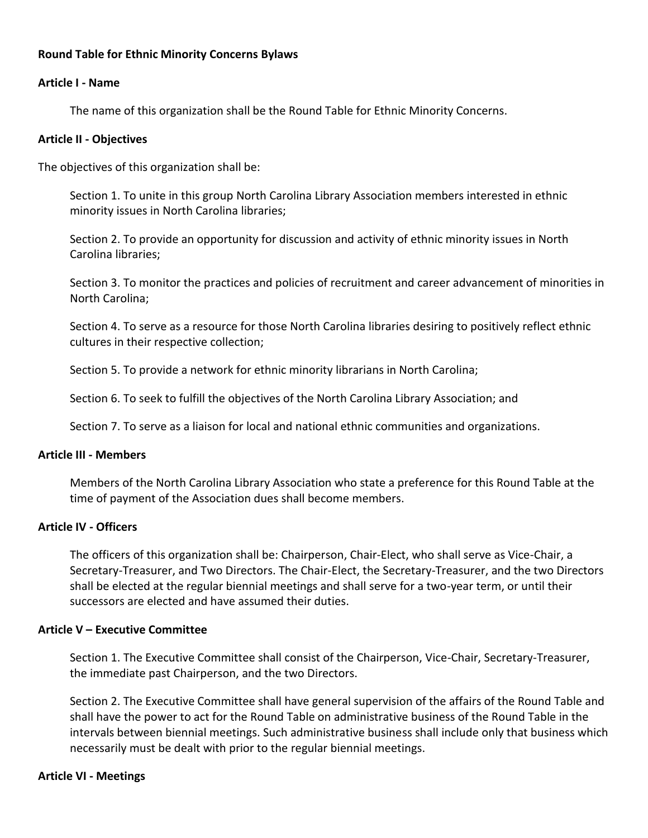## **Round Table for Ethnic Minority Concerns Bylaws**

### **Article I - Name**

The name of this organization shall be the Round Table for Ethnic Minority Concerns.

#### **Article II - Objectives**

The objectives of this organization shall be:

Section 1. To unite in this group North Carolina Library Association members interested in ethnic minority issues in North Carolina libraries;

Section 2. To provide an opportunity for discussion and activity of ethnic minority issues in North Carolina libraries;

Section 3. To monitor the practices and policies of recruitment and career advancement of minorities in North Carolina;

Section 4. To serve as a resource for those North Carolina libraries desiring to positively reflect ethnic cultures in their respective collection;

Section 5. To provide a network for ethnic minority librarians in North Carolina;

Section 6. To seek to fulfill the objectives of the North Carolina Library Association; and

Section 7. To serve as a liaison for local and national ethnic communities and organizations.

#### **Article III - Members**

Members of the North Carolina Library Association who state a preference for this Round Table at the time of payment of the Association dues shall become members.

#### **Article IV - Officers**

The officers of this organization shall be: Chairperson, Chair-Elect, who shall serve as Vice-Chair, a Secretary-Treasurer, and Two Directors. The Chair-Elect, the Secretary-Treasurer, and the two Directors shall be elected at the regular biennial meetings and shall serve for a two-year term, or until their successors are elected and have assumed their duties.

#### **Article V – Executive Committee**

Section 1. The Executive Committee shall consist of the Chairperson, Vice-Chair, Secretary-Treasurer, the immediate past Chairperson, and the two Directors.

Section 2. The Executive Committee shall have general supervision of the affairs of the Round Table and shall have the power to act for the Round Table on administrative business of the Round Table in the intervals between biennial meetings. Such administrative business shall include only that business which necessarily must be dealt with prior to the regular biennial meetings.

### **Article VI - Meetings**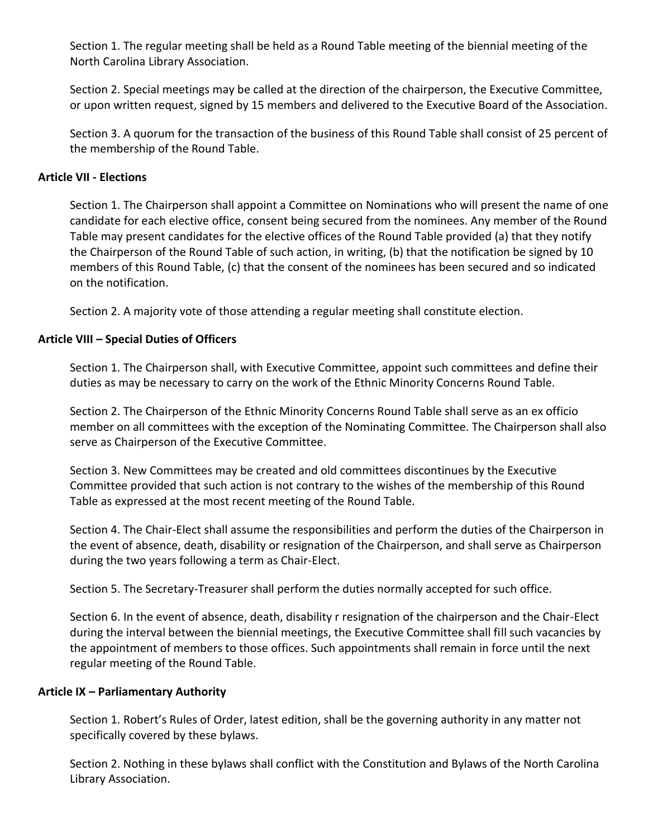Section 1. The regular meeting shall be held as a Round Table meeting of the biennial meeting of the North Carolina Library Association.

Section 2. Special meetings may be called at the direction of the chairperson, the Executive Committee, or upon written request, signed by 15 members and delivered to the Executive Board of the Association.

Section 3. A quorum for the transaction of the business of this Round Table shall consist of 25 percent of the membership of the Round Table.

# **Article VII - Elections**

Section 1. The Chairperson shall appoint a Committee on Nominations who will present the name of one candidate for each elective office, consent being secured from the nominees. Any member of the Round Table may present candidates for the elective offices of the Round Table provided (a) that they notify the Chairperson of the Round Table of such action, in writing, (b) that the notification be signed by 10 members of this Round Table, (c) that the consent of the nominees has been secured and so indicated on the notification.

Section 2. A majority vote of those attending a regular meeting shall constitute election.

# **Article VIII – Special Duties of Officers**

Section 1. The Chairperson shall, with Executive Committee, appoint such committees and define their duties as may be necessary to carry on the work of the Ethnic Minority Concerns Round Table.

Section 2. The Chairperson of the Ethnic Minority Concerns Round Table shall serve as an ex officio member on all committees with the exception of the Nominating Committee. The Chairperson shall also serve as Chairperson of the Executive Committee.

Section 3. New Committees may be created and old committees discontinues by the Executive Committee provided that such action is not contrary to the wishes of the membership of this Round Table as expressed at the most recent meeting of the Round Table.

Section 4. The Chair-Elect shall assume the responsibilities and perform the duties of the Chairperson in the event of absence, death, disability or resignation of the Chairperson, and shall serve as Chairperson during the two years following a term as Chair-Elect.

Section 5. The Secretary-Treasurer shall perform the duties normally accepted for such office.

Section 6. In the event of absence, death, disability r resignation of the chairperson and the Chair-Elect during the interval between the biennial meetings, the Executive Committee shall fill such vacancies by the appointment of members to those offices. Such appointments shall remain in force until the next regular meeting of the Round Table.

### **Article IX – Parliamentary Authority**

Section 1. Robert's Rules of Order, latest edition, shall be the governing authority in any matter not specifically covered by these bylaws.

Section 2. Nothing in these bylaws shall conflict with the Constitution and Bylaws of the North Carolina Library Association.